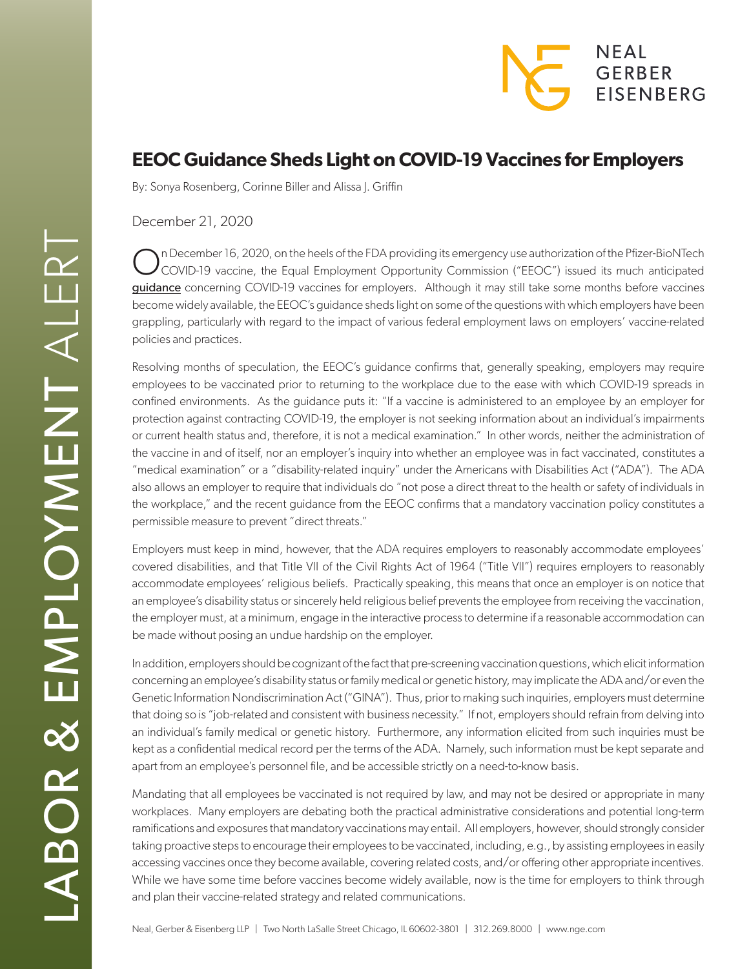

## **EEOC Guidance Sheds Light on COVID-19 Vaccines for Employers**

By: Sonya Rosenberg, Corinne Biller and Alissa J. Griffin

December 21, 2020

On December 16, 2020, on the heels of the FDA providing its emergency use authorization of the Pfizer-BioNTech COVID-19 vaccine, the Equal Employment Opportunity Commission ("EEOC") issued its much anticipated [guidance](https://www.eeoc.gov/wysk/what-you-should-know-about-covid-19-and-ada-rehabilitation-act-and-other-eeo-laws) concerning COVID-19 vaccines for employers. Although it may still take some months before vaccines become widely available, the EEOC's guidance sheds light on some of the questions with which employers have been grappling, particularly with regard to the impact of various federal employment laws on employers' vaccine-related policies and practices.

Resolving months of speculation, the EEOC's guidance confirms that, generally speaking, employers may require employees to be vaccinated prior to returning to the workplace due to the ease with which COVID-19 spreads in confined environments. As the guidance puts it: "If a vaccine is administered to an employee by an employer for protection against contracting COVID-19, the employer is not seeking information about an individual's impairments or current health status and, therefore, it is not a medical examination." In other words, neither the administration of the vaccine in and of itself, nor an employer's inquiry into whether an employee was in fact vaccinated, constitutes a "medical examination" or a "disability-related inquiry" under the Americans with Disabilities Act ("ADA"). The ADA also allows an employer to require that individuals do "not pose a direct threat to the health or safety of individuals in the workplace," and the recent guidance from the EEOC confirms that a mandatory vaccination policy constitutes a permissible measure to prevent "direct threats."

Employers must keep in mind, however, that the ADA requires employers to reasonably accommodate employees' covered disabilities, and that Title VII of the Civil Rights Act of 1964 ("Title VII") requires employers to reasonably accommodate employees' religious beliefs. Practically speaking, this means that once an employer is on notice that an employee's disability status or sincerely held religious belief prevents the employee from receiving the vaccination, the employer must, at a minimum, engage in the interactive process to determine if a reasonable accommodation can be made without posing an undue hardship on the employer.

In addition, employers should be cognizant of the fact that pre-screening vaccination questions, which elicit information concerning an employee's disability status or family medical or genetic history, may implicate the ADA and/or even the Genetic Information Nondiscrimination Act ("GINA"). Thus, prior to making such inquiries, employers must determine that doing so is "job-related and consistent with business necessity." If not, employers should refrain from delving into an individual's family medical or genetic history. Furthermore, any information elicited from such inquiries must be kept as a confidential medical record per the terms of the ADA. Namely, such information must be kept separate and apart from an employee's personnel file, and be accessible strictly on a need-to-know basis.

Mandating that all employees be vaccinated is not required by law, and may not be desired or appropriate in many workplaces. Many employers are debating both the practical administrative considerations and potential long-term ramifications and exposures that mandatory vaccinations may entail. All employers, however, should strongly consider taking proactive steps to encourage their employees to be vaccinated, including, e.g., by assisting employees in easily accessing vaccines once they become available, covering related costs, and/or offering other appropriate incentives. While we have some time before vaccines become widely available, now is the time for employers to think through and plan their vaccine-related strategy and related communications.